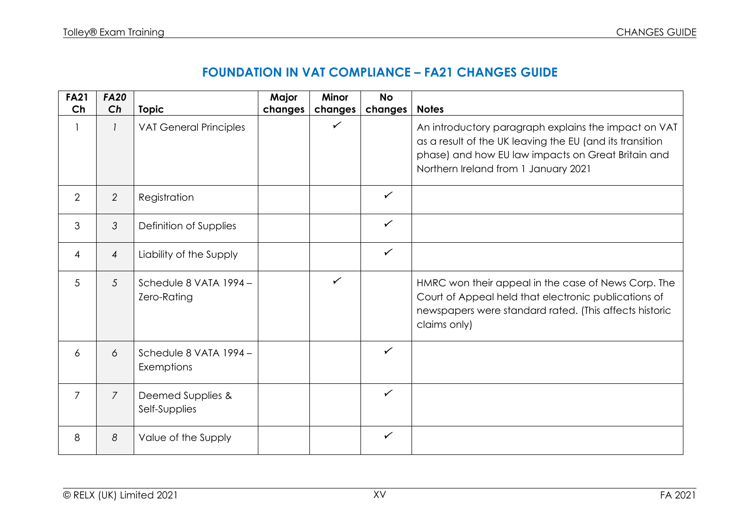| <b>FA21</b>    | <b>FA20</b>    |                                       | Major   | <b>Minor</b> | <b>No</b>    |                                                                                                                                                                                                                |
|----------------|----------------|---------------------------------------|---------|--------------|--------------|----------------------------------------------------------------------------------------------------------------------------------------------------------------------------------------------------------------|
| Ch             | Ch             | <b>Topic</b>                          | changes | changes      | changes      | <b>Notes</b>                                                                                                                                                                                                   |
|                | 1              | <b>VAT General Principles</b>         |         | $\checkmark$ |              | An introductory paragraph explains the impact on VAT<br>as a result of the UK leaving the EU (and its transition<br>phase) and how EU law impacts on Great Britain and<br>Northern Ireland from 1 January 2021 |
| $\overline{2}$ | $\overline{2}$ | Registration                          |         |              | $\checkmark$ |                                                                                                                                                                                                                |
| 3              | 3              | Definition of Supplies                |         |              | $\checkmark$ |                                                                                                                                                                                                                |
| $\overline{4}$ | $\overline{4}$ | Liability of the Supply               |         |              | $\checkmark$ |                                                                                                                                                                                                                |
| 5              | 5              | Schedule 8 VATA 1994 -<br>Zero-Rating |         | $\checkmark$ |              | HMRC won their appeal in the case of News Corp. The<br>Court of Appeal held that electronic publications of<br>newspapers were standard rated. (This affects historic<br>claims only)                          |
| 6              | 6              | Schedule 8 VATA 1994 -<br>Exemptions  |         |              | $\checkmark$ |                                                                                                                                                                                                                |
| $\overline{7}$ | $\overline{7}$ | Deemed Supplies &<br>Self-Supplies    |         |              | $\checkmark$ |                                                                                                                                                                                                                |
| 8              | 8              | Value of the Supply                   |         |              | $\checkmark$ |                                                                                                                                                                                                                |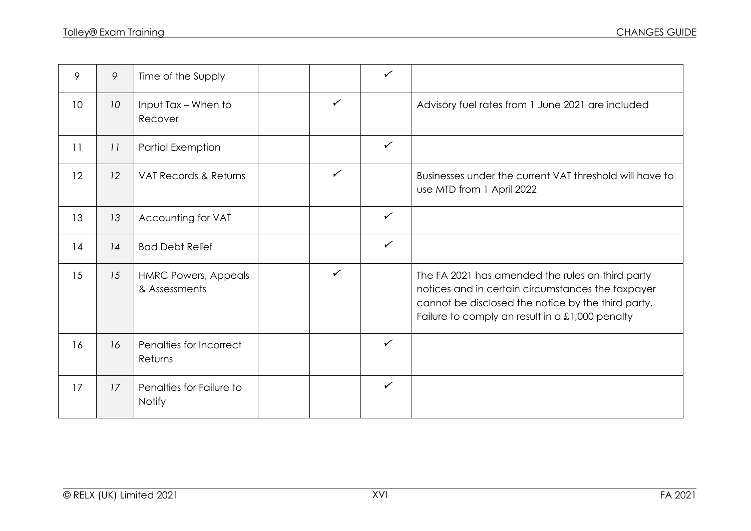| 9               | 9  | Time of the Supply                           |              | $\checkmark$ |                                                                                                                                                                                                                |
|-----------------|----|----------------------------------------------|--------------|--------------|----------------------------------------------------------------------------------------------------------------------------------------------------------------------------------------------------------------|
| 10 <sup>°</sup> | 10 | Input Tax - When to<br>Recover               | $\checkmark$ |              | Advisory fuel rates from 1 June 2021 are included                                                                                                                                                              |
| 11              | 11 | <b>Partial Exemption</b>                     |              | $\checkmark$ |                                                                                                                                                                                                                |
| 12              | 12 | VAT Records & Returns                        | $\checkmark$ |              | Businesses under the current VAT threshold will have to<br>use MTD from 1 April 2022                                                                                                                           |
| 13              | 13 | Accounting for VAT                           |              | $\checkmark$ |                                                                                                                                                                                                                |
| 14              | 14 | <b>Bad Debt Relief</b>                       |              | $\checkmark$ |                                                                                                                                                                                                                |
| 15              | 15 | <b>HMRC Powers, Appeals</b><br>& Assessments | $\checkmark$ |              | The FA 2021 has amended the rules on third party<br>notices and in certain circumstances the taxpayer<br>cannot be disclosed the notice by the third party.<br>Failure to comply an result in a £1,000 penalty |
| 16              | 16 | Penalties for Incorrect<br>Returns           |              | $\checkmark$ |                                                                                                                                                                                                                |
| 17              | 17 | Penalties for Failure to<br><b>Notify</b>    |              | $\checkmark$ |                                                                                                                                                                                                                |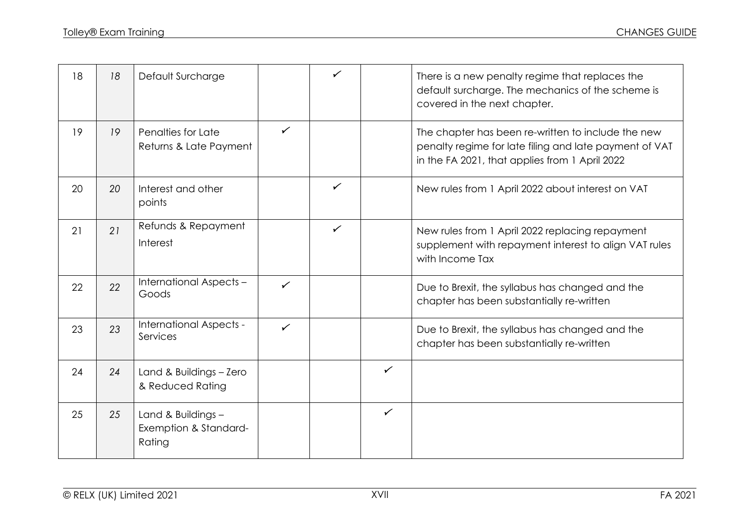| 18 | 18 | Default Surcharge                                     |              | ✓            |              | There is a new penalty regime that replaces the<br>default surcharge. The mechanics of the scheme is<br>covered in the next chapter.                           |
|----|----|-------------------------------------------------------|--------------|--------------|--------------|----------------------------------------------------------------------------------------------------------------------------------------------------------------|
| 19 | 19 | Penalties for Late<br>Returns & Late Payment          | $\checkmark$ |              |              | The chapter has been re-written to include the new<br>penalty regime for late filing and late payment of VAT<br>in the FA 2021, that applies from 1 April 2022 |
| 20 | 20 | Interest and other<br>points                          |              | ✓            |              | New rules from 1 April 2022 about interest on VAT                                                                                                              |
| 21 | 21 | Refunds & Repayment<br>Interest                       |              | $\checkmark$ |              | New rules from 1 April 2022 replacing repayment<br>supplement with repayment interest to align VAT rules<br>with Income Tax                                    |
| 22 | 22 | International Aspects-<br>Goods                       | $\checkmark$ |              |              | Due to Brexit, the syllabus has changed and the<br>chapter has been substantially re-written                                                                   |
| 23 | 23 | International Aspects -<br>Services                   | ✓            |              |              | Due to Brexit, the syllabus has changed and the<br>chapter has been substantially re-written                                                                   |
| 24 | 24 | Land & Buildings - Zero<br>& Reduced Rating           |              |              | $\checkmark$ |                                                                                                                                                                |
| 25 | 25 | Land & Buildings -<br>Exemption & Standard-<br>Rating |              |              | $\checkmark$ |                                                                                                                                                                |